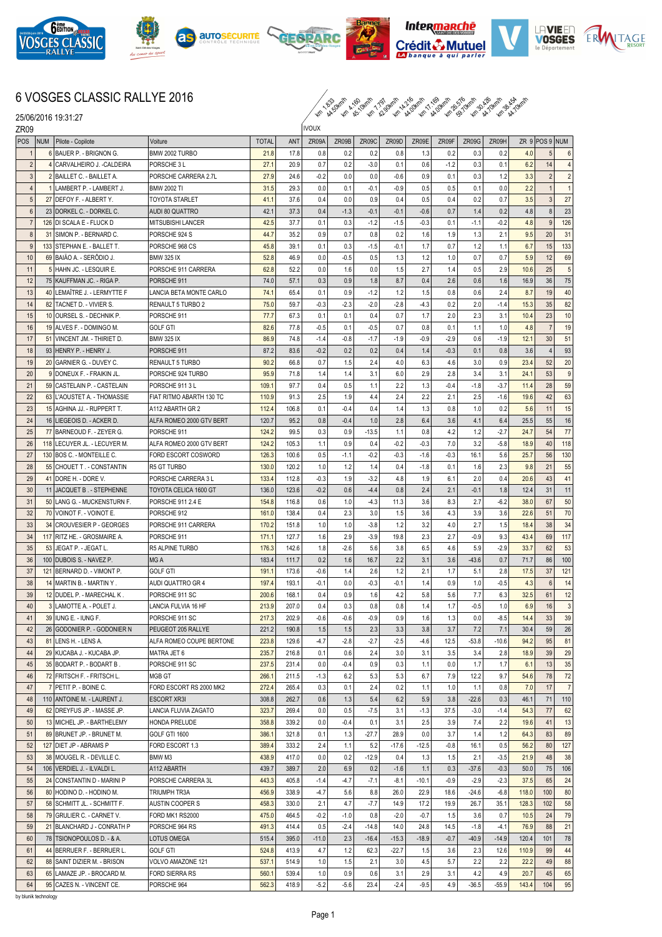

25/06/2016 19:31:27











## 6 VOSGES CLASSIC RALLYE 2016

km 1.833 44.50km/h km 4.160 45.10km/h km 7.797 42.90km/h km 14.216 44.00km/h km 17.169 44.00km/h km 26.576 59.70km/h km 30.426 44.70km/h km 38.454 44.70km/h

| ZR <sub>09</sub> |                                     |                          | ivoux        |       |         |        |         |         |         |        |         |         |       |                |                |
|------------------|-------------------------------------|--------------------------|--------------|-------|---------|--------|---------|---------|---------|--------|---------|---------|-------|----------------|----------------|
| POS              | <b>NUM</b><br>Pilote - Copilote     | Voiture                  | <b>TOTAL</b> | ANT   | ZR09A   | ZR09B  | ZR09C   | ZR09D   | ZR09E   | ZR09F  | ZR09G   | ZR09H   |       | ZR 9 POS 9 NUM |                |
| -1               | 6 BAUER P. - BRIGNON G.             | BMW 2002 TURBO           | 21.8         | 17.8  | 0.8     | 0.2    | 0.2     | 0.8     | 1.3     | 0.2    | 0.3     | 0.2     | 4.0   | 5              | 6              |
| $\overline{2}$   | 4 CARVALHEIRO J. - CALDEIRA         | PORSCHE 3 L              | 27.1         | 20.9  | 0.7     | 0.2    | $-3.0$  | 0.1     | 0.6     | $-1.2$ | 0.3     | 0.1     | 6.2   | 14             | $\overline{4}$ |
| $\mathbf{3}$     | 2 BAILLET C. - BAILLET A.           | PORSCHE CARRERA 2.7L     | 27.9         | 24.6  | $-0.2$  | 0.0    | 0.0     | -0.6    | 0.9     | 0.1    | 0.3     | 1.2     | 3.3   | $\overline{2}$ | $\overline{2}$ |
| $\overline{4}$   | 1 LAMBERT P. - LAMBERT J.           | <b>BMW 2002 TI</b>       | 31.5         | 29.3  | 0.0     | 0.1    | $-0.1$  | $-0.9$  | 0.5     | 0.5    | 0.1     | 0.0     | 2.2   | $\mathbf 1$    | $\mathbf{1}$   |
| 5                | 27 DEFOY F. - ALBERT Y.             | TOYOTA STARLET           | 41.1         | 37.6  | 0.4     | 0.0    | 0.9     | 0.4     | 0.5     | 0.4    | 0.2     | 0.7     | 3.5   | 3              | 27             |
| $6\phantom{1}$   | 23 DORKEL C. - DORKEL C.            | AUDI 80 QUATTRO          | 42.1         | 37.3  | 0.4     | $-1.3$ | $-0.1$  | $-0.1$  | $-0.6$  | 0.7    | 1.4     | 0.2     | 4.8   | 8              | 23             |
| $\overline{7}$   | 126 DI SCALA E - FLUCK D            | MITSUBISHI LANCER        | 42.5         | 37.7  | 0.1     | 0.3    | $-1.2$  | $-1.5$  | $-0.3$  | 0.1    | $-1.1$  | $-0.2$  | 4.8   | 9              | 126            |
| 8                | 31 SIMON P. - BERNARD C.            | PORSCHE 924 S            | 44.7         | 35.2  | 0.9     | 0.7    | 0.8     | 0.2     | 1.6     | 1.9    | 1.3     | 2.1     | 9.5   | 20             | 31             |
| 9                | 133 STEPHAN E. - BALLET T.          | PORSCHE 968 CS           | 45.8         | 39.1  | 0.1     | 0.3    | $-1.5$  | $-0.1$  | 1.7     | 0.7    | 1.2     | 1.1     | 6.7   | 15             | 133            |
| 10               | 69 BAIAO A. - SERÖDIO J.            | <b>BMW 325 IX</b>        | 52.8         | 46.9  | 0.0     | $-0.5$ | 0.5     | 1.3     | 1.2     | 1.0    | 0.7     | 0.7     | 5.9   | 12             | 69             |
| 11               | 5 HAHN JC. - LESQUIR E.             | PORSCHE 911 CARRERA      | 62.8         | 52.2  | 0.0     | 1.6    | 0.0     | 1.5     | 2.7     | 1.4    | 0.5     | 2.9     | 10.6  | 25             | $\sqrt{5}$     |
| 12               | 75 KAUFFMAN JC. - RIGA P.           | PORSCHE 911              | 74.0         | 57.1  | 0.3     | 0.9    | 1.8     | 8.7     | 0.4     | 2.6    | 0.6     | 1.6     | 16.9  | 36             | 75             |
| 13               | 40 LEMAÎTRE J. - LERMYTTE F         | LANCIA BETA MONTE CARLO  | 74.1         | 65.4  | 0.1     | 0.9    | $-1.2$  | 1.2     | 1.5     | 0.8    | 0.6     | 2.4     | 8.7   | 19             | 40             |
| 14               | 82 TACNET D. - VIVIER S.            | RENAULT 5 TURBO 2        | 75.0         | 59.7  | $-0.3$  | $-2.3$ | $-2.0$  | $-2.8$  | $-4.3$  | 0.2    | 2.0     | $-1.4$  | 15.3  | 35             | 82             |
|                  |                                     |                          |              |       |         |        |         |         |         |        |         |         |       |                |                |
| 15               | 10 OURSEL S. - DECHNIK P.           | PORSCHE 911              | 77.7         | 67.3  | 0.1     | 0.1    | 0.4     | 0.7     | 1.7     | 2.0    | 2.3     | 3.1     | 10.4  | 23             | 10             |
| 16               | 19 ALVES F. - DOMINGO M.            | <b>GOLF GTI</b>          | 82.6         | 77.8  | $-0.5$  | 0.1    | $-0.5$  | 0.7     | 0.8     | 0.1    | 1.1     | 1.0     | 4.8   | $\overline{7}$ | 19             |
| 17               | 51 VINCENT JM. - THIRIET D.         | <b>BMW 325 IX</b>        | 86.9         | 74.8  | $-1.4$  | $-0.8$ | $-1.7$  | $-1.9$  | $-0.9$  | $-2.9$ | 0.6     | $-1.9$  | 12.1  | 30             | 51             |
| 18               | 93 HENRY P. - HENRY J.              | PORSCHE 911              | 87.2         | 83.6  | $-0.2$  | 0.2    | 0.2     | 0.4     | 1.4     | $-0.3$ | 0.1     | 0.8     | 3.6   | $\overline{4}$ | 93             |
| 19               | 20<br><b>IGARNIER G. - DUVEY C.</b> | <b>RENAULT 5 TURBO</b>   | 90.2         | 66.8  | 0.7     | 1.5    | 2.4     | 4.0     | 6.3     | 4.6    | 3.0     | 0.9     | 23.4  | 52             | 20             |
| 20               | 9 DONEUX F. - FRAIKIN JL.           | PORSCHE 924 TURBO        | 95.9         | 71.8  | 1.4     | 1.4    | 3.1     | 6.0     | 2.9     | 2.8    | 3.4     | 3.1     | 24.1  | 53             | 9              |
| 21               | 59 CASTELAIN P. - CASTELAIN         | PORSCHE 9113L            | 109.1        | 97.7  | 0.4     | 0.5    | 1.1     | 2.2     | 1.3     | $-0.4$ | $-1.8$  | $-3.7$  | 11.4  | 28             | 59             |
| 22               | 63 L'AOUSTET A. - THOMASSIE         | FIAT RITMO ABARTH 130 TC | 110.9        | 91.3  | 2.5     | 1.9    | 4.4     | 2.4     | 2.2     | 2.1    | 2.5     | $-1.6$  | 19.6  | 42             | 63             |
| 23               | 15 AGHINA JJ. - RUPPERT T.          | A112 ABARTH GR 2         | 112.4        | 106.8 | 0.1     | $-0.4$ | 0.4     | 1.4     | 1.3     | 0.8    | 1.0     | 0.2     | 5.6   | 11             | 15             |
| 24               | 16 LIEGEOIS D. - ACKER D.           | ALFA ROMEO 2000 GTV BERT | 120.7        | 95.2  | 0.8     | $-0.4$ | 1.0     | 2.8     | 6.4     | 3.6    | 4.1     | 6.4     | 25.5  | 55             | 16             |
| 25               | 77 BARNEOUD F. - ZEYER G            | PORSCHE 911              | 124.2        | 99.5  | 0.3     | 0.9    | $-13.5$ | 1.1     | 0.8     | 4.2    | 1.2     | $-2.7$  | 24.7  | 54             | 77             |
| 26               | 118   LECUYER JL. - LECUYER M.      | ALFA ROMEO 2000 GTV BERT | 124.2        | 105.3 | 1.1     | 0.9    | 0.4     | $-0.2$  | $-0.3$  | 7.0    | 3.2     | $-5.8$  | 18.9  | 40             | 118            |
| 27               | 130 BOS C. - MONTEILLE C.           | FORD ESCORT COSWORD      | 126.3        | 100.6 | 0.5     | $-1.1$ | $-0.2$  | $-0.3$  | $-1.6$  | $-0.3$ | 16.1    | 5.6     | 25.7  | 56             | 130            |
| 28               | 55 CHOUET T. - CONSTANTIN           | R5 GT TURBO              | 130.0        | 120.2 | 1.0     | 1.2    | 1.4     | 0.4     | $-1.8$  | 0.1    | 1.6     | 2.3     | 9.8   | 21             | 55             |
| 29               | 41 DORE H. - DORE V.                | PORSCHE CARRERA 3 L      | 133.4        | 112.8 | $-0.3$  | 1.9    | $-3.2$  | 4.8     | 1.9     | 6.1    | 2.0     | 0.4     | 20.6  | 43             | 41             |
| 30               | 11<br><b>JACQUET B. - STEPHENNE</b> | TOYOTA CELICA 1600 GT    | 136.0        | 123.6 | $-0.2$  | 0.6    | $-4.4$  | 0.8     | 2.4     | 2.1    | $-0.1$  | 1.8     | 12.4  | 31             | 11             |
| 31               | 50 LANG G. - MUCKENSTURN F.         | PORSCHE 911 2.4 E        | 154.8        | 116.8 | 0.6     | 1.0    | $-4.3$  | 11.3    | 3.6     | 8.3    | 2.7     | $-6.2$  | 38.0  | 67             | 50             |
| 32               | 70 VOINOT F. - VOINOT E.            | PORSCHE 912              | 161.0        | 138.4 | 0.4     | 2.3    | 3.0     | 1.5     | 3.6     | 4.3    | 3.9     | 3.6     | 22.6  | 51             | 70             |
| 33               | 34 CROUVESIER P - GEORGES           |                          | 170.2        | 151.8 | 1.0     | 1.0    | $-3.8$  | 1.2     | 3.2     | 4.0    | 2.7     | 1.5     | 18.4  | 38             | 34             |
|                  |                                     | PORSCHE 911 CARRERA      |              |       |         |        |         |         |         |        |         |         |       |                |                |
| 34               | 117   RITZ HE. - GROSMAIRE A.       | PORSCHE 911              | 171.1        | 127.7 | 1.6     | 2.9    | $-3.9$  | 19.8    | 2.3     | 2.7    | $-0.9$  | 9.3     | 43.4  | 69             | 117            |
| 35               | 53<br> JEGAT P. - JEGAT L           | R5 ALPINE TURBO          | 176.3        | 142.6 | 1.8     | $-2.6$ | 5.6     | 3.8     | 6.5     | 4.6    | 5.9     | $-2.9$  | 33.7  | 62             | 53             |
| 36               | 100 DUBOIS S. - NAVEZ P.            | MG A                     | 183.4        | 111.7 | 0.2     | 1.6    | 16.7    | 2.2     | 3.1     | 3.6    | $-43.6$ | 0.7     | 71.7  | 86             | 100            |
| 37               | 121 BERNARD D. - VIMONT P.          | <b>GOLF GTI</b>          | 191.1        | 173.6 | $-0.6$  | 1.4    | 2.6     | 1.2     | 2.1     | 1.7    | 5.1     | 2.8     | 17.5  | 37             | 121            |
| 38               | 14 MARTIN B. - MARTIN Y.            | AUDI QUATTRO GR 4        | 197.4        | 193.1 | $-0.1$  | 0.0    | $-0.3$  | $-0.1$  | 1.4     | 0.9    | 1.0     | $-0.5$  | 4.3   | 6              | 14             |
| 39               | 12 DUDEL P. - MARECHAL K.           | PORSCHE 911 SC           | 200.6        | 168.1 | 0.4     | 0.9    | 1.6     | 4.2     | 5.8     | 5.6    | 7.7     | 6.3     | 32.5  | 61             | 12             |
| 40               | 3 LAMOTTE A. - POLET J.             | LANCIA FULVIA 16 HF      | 213.9        | 207.0 | 0.4     | 0.3    | 0.8     | 0.8     | 1.4     | 1.7    | $-0.5$  | 1.0     | 6.9   | 16             | $\overline{3}$ |
| 41               | 39 IIUNG E. - IUNG F.               | PORSCHE 911 SC           | 217.3        | 202.9 | $-0.6$  | $-0.6$ | -0.9    | 0.9     | 1.6     | 1.3    | 0.0     | $-8.5$  | 14.4  | 33             | 39             |
| 42               | 26 GODONIER P. - GODONIER N         | PEUGEOT 205 RALLYE       | 221.2        | 190.8 | 1.5     | 1.5    | 2.3     | 3.3     | 3.8     | 3.7    | 7.2     | 7.1     | 30.4  | 59             | 26             |
| 43               | 81 LENS H. - LENS A.                | ALFA ROMEO COUPE BERTONE | 223.8        | 129.6 | $-4.7$  | $-2.8$ | $-2.7$  | $-2.5$  | $-4.6$  | 12.5   | $-53.8$ | $-10.6$ | 94.2  | 95             | 81             |
| 44               | 29 KUCABA J. - KUCABA JP.           | MATRA JET 6              | 235.7        | 216.8 | 0.1     | 0.6    | 2.4     | 3.0     | 3.1     | 3.5    | 3.4     | 2.8     | 18.9  | 39             | 29             |
| 45               | 35 BODART P. - BODART B.            | PORSCHE 911 SC           | 237.5        | 231.4 | 0.0     | $-0.4$ | 0.9     | 0.3     | 1.1     | 0.0    | 1.7     | 1.7     | 6.1   | 13             | 35             |
| 46               | 72 FRITSCH F. - FRITSCH L.          | MGB GT                   | 266.1        | 211.5 | $-1.3$  | 6.2    | 5.3     | 5.3     | 6.7     | 7.9    | 12.2    | 9.7     | 54.6  | 78             | $72\,$         |
| 47               | 7 PETIT P. - BOINE C.               | FORD ESCORT RS 2000 MK2  | 272.4        | 265.4 | 0.3     | 0.1    | 2.4     | 0.2     | 1.1     | 1.0    | 1.1     | 0.8     | 7.0   | 17             | $\overline{7}$ |
| 48               | 110 ANTOINE M. - LAURENT J.         | <b>ESCORT XR3I</b>       | 308.8        | 262.7 | 0.6     | 1.3    | 5.4     | 6.2     | 5.9     | 3.8    | $-22.6$ | 0.3     | 46.1  | 71             | 110            |
| 49               | 62 DREYFUS JP. - MASSE JP.          | LANCIA FLUVIA ZAGATO     | 323.7        | 269.4 | 0.0     | 0.5    | $-7.5$  | 3.1     | $-1.3$  | 37.5   | $-3.0$  | $-1.4$  | 54.3  | 77             | 62             |
| 50               | 13 MICHEL JP. - BARTHELEMY          | HONDA PRELUDE            | 358.8        | 339.2 | 0.0     | $-0.4$ | 0.1     | 3.1     | 2.5     | 3.9    | 7.4     | 2.2     | 19.6  | 41             | 13             |
| 51               | 89 BRUNET JP. - BRUNET M.           | GOLF GTI 1600            | 386.1        | 321.8 | 0.1     | 1.3    | $-27.7$ | 28.9    | 0.0     | 3.7    | 1.4     | 1.2     | 64.3  | 83             | 89             |
| 52               | 127 DIET JP - ABRAMS P              | FORD ESCORT 1.3          | 389.4        | 333.2 | 2.4     | 1.1    | 5.2     | $-17.6$ | $-12.5$ | $-0.8$ | 16.1    | 0.5     | 56.2  | 80             | 127            |
| 53               | 38 MOUGEL R. - DEVILLE C.           | BMW M3                   | 438.9        | 417.0 | 0.0     | 0.2    | $-12.9$ | 0.4     | 1.3     | 1.5    | 2.1     | $-3.5$  | 21.9  | 48             | 38             |
| 54               | 106   VERDIEL J. - ILVALDI L.       | A112 ABARTH              | 439.7        | 389.7 | 2.0     | 6.9    | 0.2     | $-1.6$  | 1.1     | 0.3    | $-37.6$ | $-0.3$  | 50.0  | 75             | 106            |
|                  |                                     |                          |              |       |         |        |         |         |         |        |         |         |       |                |                |
| 55               | 24 CONSTANTIN D - MARINI P          | PORSCHE CARRERA 3L       | 443.3        | 405.8 | $-1.4$  | -4.7   | $-7.1$  | $-8.1$  | $-10.1$ | $-0.9$ | $-2.9$  | $-2.3$  | 37.5  | 65             | 24             |
| 56               | 80 HODINO D. - HODINO M.            | TRIUMPH TR3A             | 456.9        | 338.9 | -4.7    | 5.6    | 8.8     | 26.0    | 22.9    | 18.6   | $-24.6$ | $-6.8$  | 118.0 | 100            | 80             |
| 57               | 58 SCHMITT JL. - SCHMITT F.         | AUSTIN COOPER S          | 458.3        | 330.0 | 2.1     | 4.7    | $-7.7$  | 14.9    | 17.2    | 19.9   | 26.7    | 35.1    | 128.3 | 102            | 58             |
| 58               | 79 GRULIER C. - CARNET V.           | FORD MK1 RS2000          | 475.0        | 464.5 | $-0.2$  | $-1.0$ | 0.8     | $-2.0$  | $-0.7$  | 1.5    | 3.6     | 0.7     | 10.5  | 24             | 79             |
| 59               | 21 BLANCHARD J - CONRATH P          | PORSCHE 964 RS           | 491.3        | 414.4 | 0.5     | $-2.4$ | $-14.8$ | 14.0    | 24.8    | 14.5   | $-1.8$  | $-4.1$  | 76.9  | 88             | 21             |
| 60               | 78   TSIONOPOULOS D. - & A.         | LOTUS OMEGA              | 515.4        | 395.0 | $-11.0$ | 2.3    | $-16.4$ | $-15.3$ | $-18.9$ | $-0.7$ | $-40.9$ | $-14.9$ | 120.4 | 101            | 78             |
| 61               | 44 BERRUER F. - BERRUER L.          | <b>GOLF GTI</b>          | 524.8        | 413.9 | 4.7     | 1.2    | 62.3    | $-22.7$ | 1.5     | 3.6    | 2.3     | 12.6    | 110.9 | 99             | 44             |
| 62               | 88 SAINT DIZIER M. - BRISON         | VOLVO AMAZONE 121        | 537.1        | 514.9 | 1.0     | 1.5    | 2.1     | 3.0     | 4.5     | 5.7    | 2.2     | 2.2     | 22.2  | 49             | 88             |
| 63               | 65 LAMAZE JP. - BROCARD M.          | FORD SIERRA RS           | 560.1        | 539.4 | 1.0     | 0.9    | 0.6     | 3.1     | 2.9     | 3.1    | 4.2     | 4.9     | 20.7  | 45             | 65             |
| 64               | 95 CAZES N. - VINCENT CE.           | PORSCHE 964              | 562.3        | 418.9 | $-5.2$  | $-5.6$ | 23.4    | $-2.4$  | $-9.5$  | 4.9    | $-36.5$ | $-55.9$ | 143.4 | 104            | 95             |

by blunik technology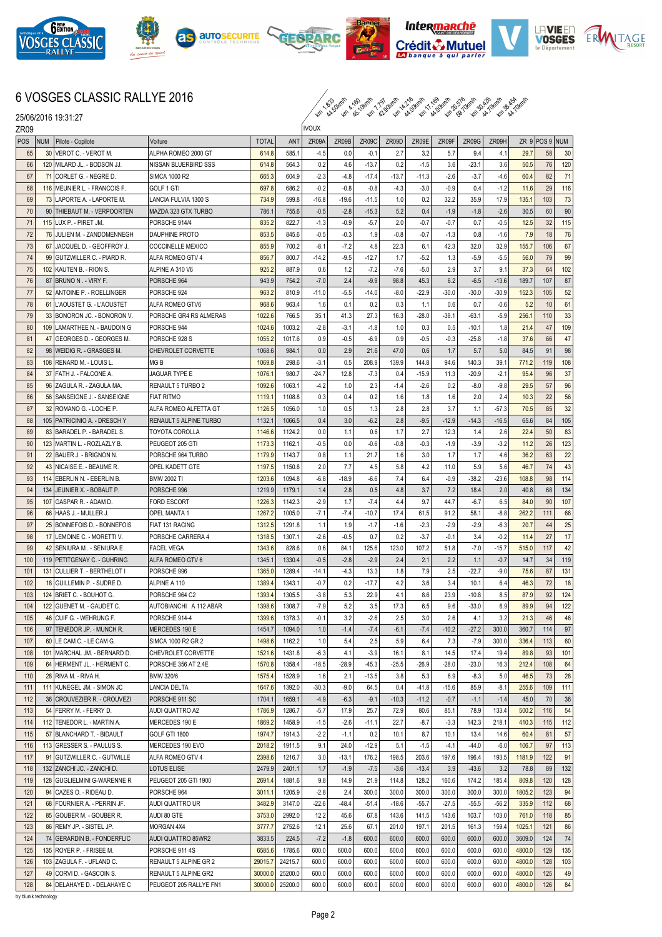

25/06/2016 19:31:27







 $\int_{\mathbb{R}}$ 





le Déna

## 6 VOSGES CLASSIC RALLYE 2016

km 1.833 44.50km/h km 4.160 45.10km/h km 7.797 42.90km/h km 14.216 44.00km/h km 17.169 44.00km/h km 26.576 59.70km/h km 30.426 44.70km/h km 38.454 44.70km/h

| ZR <sub>09</sub> |                 |                                                            | <b>IVOUX</b>                  |                    |                    |                |               |                |                |                |                |                    |                |                  |                |           |
|------------------|-----------------|------------------------------------------------------------|-------------------------------|--------------------|--------------------|----------------|---------------|----------------|----------------|----------------|----------------|--------------------|----------------|------------------|----------------|-----------|
| POS              | <b>NUM</b>      | Pilote - Copilote                                          | Voiture                       | <b>TOTAL</b>       | <b>ANT</b>         | ZR09A          | ZR09B         | ZR09C          | ZR09D          | ZR09E          | ZR09F          | ZR09G              | ZR09H          |                  | ZR 9 POS 9 NUM |           |
| 65               | 30 <sup>1</sup> | VEROT C. - VEROT M.                                        | ALPHA ROMEO 2000 GT           | 614.8              | 585.1              | $-4.5$         | 0.0           | $-0.1$         | 2.7            | 3.2            | 5.7            | 9.4                | 4.1            | 29.7             | 58             | 30        |
| 66               |                 | 120 MILARD JL. - BODSON JJ.                                | NISSAN BLUERBIRD SSS          | 614.8              | 564.3              | 0.2            | 4.6           | $-13.7$        | 0.2            | $-1.5$         | 3.6            | $-23.1$            | 3.6            | 50.5             | 76             | 120       |
| 67               |                 | 71 CORLET G. - NEGRE D.                                    | <b>SIMCA 1000 R2</b>          | 665.3              | 604.9              | $-2.3$         | $-4.8$        | $-17.4$        | $-13.7$        | $-11.3$        | $-2.6$         | $-3.7$             | $-4.6$         | 60.4             | 82             | 71        |
| 68               |                 | 116 MEUNIER L. - FRANCOIS F.                               | GOLF 1 GTI                    | 697.8              | 686.2              | $-0.2$         | $-0.8$        | $-0.8$         | $-4.3$         | $-3.0$         | $-0.9$         | 0.4                | $-1.2$         | 11.6             | 29             | 116       |
| 69               |                 | 73 LAPORTE A. - LAPORTE M.                                 | LANCIA FULVIA 1300 S          | 734.9              | 599.8              | $-16.8$        | $-19.6$       | $-11.5$        | 1.0            | 0.2            | 32.2           | 35.9               | 17.9           | 135.1            | 103            | 73        |
| 70               |                 | 90   THIEBAUT M. - VERPOORTEN                              | MAZDA 323 GTX TURBO           | 786.1              | 755.6              | $-0.5$         | $-2.8$        | $-15.3$        | 5.2            | 0.4            | $-1.9$         | $-1.8$             | $-2.6$         | 30.5             | 60             | 90        |
| 71               |                 | 115   LUX P. - PIRET JM.                                   | PORSCHE 914/4                 | 835.2              | 822.7              | $-1.3$         | $-0.9$        | $-5.7$         | 2.0            | $-0.7$         | $-0.7$         | 0.7                | $-0.5$         | 12.5             | 32             | 115       |
| 72               |                 | 76 JULIEN M. - ZANDOMENNEGH                                | <b>DAUPHINE PROTO</b>         | 853.5              | 845.6              | $-0.5$         | $-0.3$        | 1.9            | $-0.8$         | $-0.7$         | $-1.3$         | 0.8                | $-1.6$         | 7.9              | 18             | 76        |
| 73               | 67              | lJACQUEL D. - GEOFFROY J.                                  | <b>COCCINELLE MEXICO</b>      | 855.9              | 700.2              | -8.1           | $-7.2$        | 4.8            | 22.3           | 6.1            | 42.3           | 32.0               | 32.9           | 155.7            | 106            | 67        |
| 74               | 99              | GUTZWILLER C. - PIARD R.                                   | ALFA ROMEO GTV 4              | 856.7              | 800.7              | $-14.2$        | $-9.5$        | $-12.7$        | 1.7            | $-5.2$         | 1.3            | $-5.9$             | $-5.5$         | 56.0             | 79             | 99        |
| 75               |                 | 102 KAUTEN B. - RION S.                                    | ALPINE A 310 V6               | 925.2              | 887.9              | 0.6            | 1.2           | $-7.2$         | -7.6           | $-5.0$         | 2.9            | 3.7                | 9.1            | 37.3             | 64             | 102       |
| 76               |                 | 87 BRUNO N . - VIRY F.                                     | PORSCHE 964                   | 943.9              | 754.2              | $-7.0$         | 2.4           | $-9.9$         | 98.8           | 45.3           | 6.2            | $-6.5$             | $-13.6$        | 189.7            | 107            | 87        |
| 77               |                 | 52 ANTOINE P. - ROELLINGER                                 | PORSCHE 924                   | 963.2              | 810.9              | $-11.0$        | $-5.5$        | $-14.0$        | $-8.0$         | -22.9          | $-30.0$        | $-30.0$            | $-30.9$        | 152.3            | 105            | 52        |
| 78               |                 | 61   L'AOUSTET G. - L'AOUSTET                              | ALFA ROMEO GTV6               | 968.6              | 963.4              | 1.6            | 0.1           | 0.2            | 0.3            | 1.1            | 0.6            | 0.7                | $-0.6$         | 5.2              | 10<br>110      | 61        |
| 79<br>80         |                 | 33 BONORON JC. - BONORON V.                                | PORSCHE GR4 RS ALMERAS        | 1022.6             | 766.5              | 35.1           | 41.3          | 27.3           | 16.3           | $-28.0$        | $-39.1$        | $-63.1$<br>$-10.1$ | $-5.9$         | 256.1            | 47             | 33        |
|                  |                 | 109 LAMARTHEE N. - BAUDOIN G<br>47 GEORGES D. - GEORGES M. | PORSCHE 944<br>PORSCHE 928 S  | 1024.6             | 1003.2<br>1017.6   | $-2.8$         | $-3.1$        | $-1.8$         | 1.0<br>0.9     | 0.3            | 0.5            |                    | 1.8<br>$-1.8$  | 21.4             | 66             | 109<br>47 |
| 81<br>82         |                 |                                                            | <b>CHEVROLET CORVETTE</b>     | 1055.2<br>1068.6   | 984.1              | 0.9<br>0.0     | $-0.5$<br>2.9 | $-6.9$<br>21.6 | 47.0           | $-0.5$<br>0.6  | $-0.3$<br>1.7  | $-25.8$<br>5.7     | 5.0            | 37.6<br>84.5     | 91             | 98        |
| 83               |                 | 98   WEIDIG R. - GRASGES M.<br>108 RENARD M. - LOUIS L     | MG <sub>B</sub>               | 1069.8             | 298.6              | $-3.1$         | 0.5           | 208.9          | 139.9          | 144.8          | 94.6           | 140.3              | 39.1           | 771.2            | 119            | 108       |
| 84               |                 | 37   FATH J. - FALCONE A.                                  | JAGUAR TYPE E                 | 1076.1             | 980.7              | -24.7          | 12.8          | $-7.3$         | 0.4            | $-15.9$        | 11.3           | $-20.9$            | $-2.1$         | 95.4             | 96             | 37        |
| 85               |                 | 96 ZAGULA R. - ZAGULA MA.                                  | <b>RENAULT 5 TURBO 2</b>      | 1092.6             | 1063.1             | $-4.2$         | 1.0           | 2.3            | $-1.4$         | $-2.6$         | 0.2            | $-8.0$             | -9.8           | 29.5             | 57             | 96        |
| 86               |                 | 56 SANSEIGNE J. - SANSEIGNE                                | IFIAT RITMO                   | 1119.1             | 1108.8             | 0.3            | 0.4           | 0.2            | 1.6            | 1.8            | 1.6            | 2.0                | 2.4            | 10.3             | 22             | 56        |
| 87               |                 | 32 ROMANO G. - LOCHE P.                                    | ALFA ROMEO ALFETTA GT         | 1126.5             | 1056.0             | 1.0            | 0.5           | 1.3            | 2.8            | 2.8            | 3.7            | 1.1                | $-57.3$        | 70.5             | 85             | 32        |
| 88               |                 | 105 PATRICINIO A. - DRESCH Y                               | <b>RENAULT 5 ALPINE TURBO</b> | 1132.1             | 1066.5             | 0.4            | 3.0           | $-6.2$         | 2.8            | $-9.5$         | $-12.9$        | $-14.3$            | $-16.5$        | 65.6             | 84             | 105       |
| 89               |                 | 83 BARADEL P. - BARADEL S.                                 | TOYOTA COROLLA                | 1146.6             | 1124.2             | 0.0            | 1.1           | 0.6            | 1.7            | 2.7            | 12.3           | 1.4                | 2.6            | 22.4             | 50             | 83        |
| 90               |                 | 123   MARTIN L. - ROZLAZLY B.                              | PEUGEOT 205 GTI               | 1173.3             | 1162.1             | $-0.5$         | 0.0           | $-0.6$         | $-0.8$         | $-0.3$         | $-1.9$         | $-3.9$             | $-3.2$         | 11.2             | 26             | 123       |
| 91               |                 | 22 BAUER J. - BRIGNON N.                                   | PORSCHE 964 TURBO             | 1179.9             | 1143.7             | 0.8            | 1.1           | 21.7           | 1.6            | 3.0            | 1.7            | 1.7                | 4.6            | 36.2             | 63             | 22        |
| 92               |                 | 43 NICAISE E. - BEAUME R.                                  | OPEL KADETT GTE               | 1197.5             | 1150.8             | 2.0            | 7.7           | 4.5            | 5.8            | 4.2            | 11.0           | 5.9                | 5.6            | 46.7             | 74             | 43        |
| 93               | 114             | EBERLIN N. - EBERLIN B.                                    | <b>BMW 2002 TI</b>            | 1203.6             | 1094.8             | $-6.8$         | -18.9         | $-6.6$         | 7.4            | 6.4            | $-0.9$         | $-38.2$            | $-23.6$        | 108.8            | 98             | 114       |
| 94               | 134             | JEUNIER X. - BOBAUT P.                                     | PORSCHE 996                   | 1219.9             | 1179.1             | 1.4            | 2.8           | 0.5            | 4.8            | 3.7            | 7.2            | 18.4               | 2.0            | 40.8             | 68             | 134       |
| 95               |                 | 107 GASPAR R. - ADAM D                                     | <b>FORD ESCORT</b>            | 1226.3             | 1142.3             | $-2.9$         | 1.7           | $-7.4$         | 4.4            | 9.7            | 44.7           | $-6.7$             | 6.5            | 84.0             | 90             | 107       |
| 96               |                 | 66 HAAS J. - MULLER J.                                     | <b>OPEL MANTA 1</b>           | 1267.2             | 1005.0             | -7.1           | $-7.4$        | $-10.7$        | 17.4           | 61.5           | 91.2           | 58.1               | -8.8           | 262.2            | 111            | 66        |
| 97               |                 | 25 BONNEFOIS D. - BONNEFOIS                                | FIAT 131 RACING               | 1312.5             | 1291.8             | 1.1            | 1.9           | $-1.7$         | $-1.6$         | $-2.3$         | $-2.9$         | $-2.9$             | $-6.3$         | 20.7             | 44             | 25        |
| 98               |                 | 17 LEMOINE C. - MORETTI V.                                 | PORSCHE CARRERA 4             | 1318.5             | 1307.1             | $-2.6$         | $-0.5$        | 0.7            | 0.2            | $-3.7$         | $-0.1$         | 3.4                | $-0.2$         | 11.4             | 27             | 17        |
| 99               |                 | 42 SENIURA M. - SENIURA E.                                 | <b>FACEL VEGA</b>             | 1343.6             | 828.6              | 0.6            | 84.1          | 125.6          | 123.0          | 107.2          | 51.8           | $-7.0$             | $-15.7$        | 515.0            | 117            | 42        |
| 100              |                 | 119   PETITGENAY C. - GUHRING                              | <b>ALFA ROMEO GTV 6</b>       | 1345.1             | 1330.4             | $-0.5$         | $-2.8$        | $-2.9$         | 2.4            | 2.1            | 2.2            | 1.1                | $-0.7$         | 14.7             | 34             | 119       |
| 101              |                 | 131 CULLIER T. - BERTHELOT I                               | PORSCHE 996                   | 1365.0             | 1289.4             | $-14.1$        | $-4.3$        | 13.3           | 1.8            | 7.9            | 2.5            | $-22.7$            | $-9.0$         | 75.6             | 87             | 131       |
| 102              |                 | 18 GUILLEMIN P. - SUDRE D.                                 | ALPINE A 110                  | 1389.4             | 1343.1             | $-0.7$         | 0.2           | $-17.7$        | 4.2            | 3.6            | 3.4            | 10.1               | 6.4            | 46.3             | 72             | 18        |
| 103              |                 | 124   BRIET C. - BOUHOT G.                                 | PORSCHE 964 C2                | 1393.4             | 1305.5             | $-3.8$         | 5.3           | 22.9           | 4.1            | 8.6            | 23.9           | $-10.8$            | 8.5            | 87.9             | 92             | 124       |
| 104              | 122             | GUENET M. - GAUDET C.                                      | AUTOBIANCHI A 112 ABAR        | 1398.6             | 1308.7             | -7.9           | 5.2           | 3.5            | 17.3           | 6.5            | 9.6            | $-33.0$            | 6.9            | 89.9             | 94             | 122       |
| 105              |                 | 46 CUIF G. - WEHRUNG F.                                    | PORSCHE 914-4                 | 1399.6             | 1378.3             | $-0.1$         | 3.2           | $-2.6$         | 2.5            | 3.0            | 2.6            | 4.1                | 3.2            | 21.3             | 46             | 46        |
| 106              |                 | 97 TENEDOR JP. - MUNCH R.                                  | MERCEDES 190 E                | 1454.7             | 1094.0             | 1.0            | $-1.4$        | $-7.4$         | $-6.1$         | $-7.4$         | $-10.2$        | $-27.2$            | 300.0          | 360.7            | 114            | 97        |
| 107              |                 | 60 LE CAM C. - LE CAM G.                                   | SIMCA 1000 R2 GR 2            | 1498.6             | 1162.2             | 1.0            | 5.4           | 2.5            | 5.9            | 6.4            | 7.3            | $-7.9$             | 300.0          | 336.4            | 113            | 60        |
| 108              |                 | 101 MARCHAL JM. - BERNARD D.                               | CHEVROLET CORVETTE            | 1521.6             | 1431.8             | $-6.3$         | 4.1           | $-3.9$         | 16.1           | 8.1            | 14.5           | 17.4               | 19.4           | 89.8             | 93             | 101       |
| 109              |                 | 64 HERMENT JL. - HERMENT C.                                | PORSCHE 356 AT 2.4E           | 1570.8             | 1358.4             | $-18.5$        | $-28.9$       | $-45.3$        | $-25.5$        | $-26.9$        | $-28.0$        | $-23.0$            | 16.3           | 212.4            | 108            | 64        |
| 110              |                 | 28 RIVA M. - RIVA H.                                       | <b>BMW 320/6</b>              | 1575.4             | 1528.9             | 1.6            | 2.1           | $-13.5$        | 3.8            | 5.3            | 6.9            | $-8.3$             | 5.0            | 46.5             | 73             | 28        |
| 111              |                 | 111 KUNEGEL JM. - SIMON JC                                 | <b>LANCIA DELTA</b>           | 1647.6             | 1392.0             | $-30.3$        | $-9.0$        | 64.5           | 0.4            | $-41.8$        | $-15.6$        | 85.9               | $-8.1$         | 255.6            | 109            | 111       |
| 112              |                 | 36 CROUVEZIER R. - CROUVEZI                                | PORSCHE 911 SC                | 1704.1             | 1659.1             | $-4.9$         | $-6.3$        | $-9.1$         | $-10.3$        | $-11.2$        | $-0.7$         | $-1.1$             | $-1.4$         | 45.0             | 70             | 36        |
| 113              |                 | 54 FERRY M. - FERRY D.                                     | AUDI QUATTRO A2               | 1786.9             | 1286.7             | $-5.7$         | 17.9          | 25.7           | 72.9           | 80.6           | 85.1           | 78.9               | 133.4          | 500.2            | 116            | 54        |
| 114              |                 | 112 TENEDOR L. - MARTIN A.                                 | MERCEDES 190 E                | 1869.2             | 1458.9             | $-1.5$         | $-2.6$        | $-11.1$        | 22.7           | $-8.7$         | $-3.3$         | 142.3              | 218.1          | 410.3            | 115            | 112       |
| 115              |                 | 57 BLANCHARD T. - BIDAULT                                  | GOLF GTI 1800                 | 1974.7             | 1914.3             | $-2.2$         | $-1.1$        | 0.2            | 10.1           | 8.7            | 10.1           | 13.4               | 14.6           | 60.4             | 81             | 57        |
| 116              |                 | 113 GRESSER S. - PAULUS S.                                 | MERCEDES 190 EVO              | 2018.2             | 1911.5             | 9.1            | 24.0          | $-12.9$        | 5.1            | $-1.5$         | $-4.1$         | $-44.0$            | $-6.0$         | 106.7            | 97             | 113       |
| 117              |                 | 91 GUTZWILLER C. - GUTWILLE                                | ALFA ROMEO GTV 4              | 2398.6             | 1216.7             | 3.0            | $-13.1$       | 176.2          | 198.5          | 203.6          | 197.6          | 196.4              | 193.5          | 1181.9           | 122            | 91        |
| 118              |                 | 132 ZANCHI JC. - ZANCHI D.                                 | <b>LOTUS ELISE</b>            | 2479.9             | 2401.1             | 1.7            | $-1.9$        | $-7.5$         | $-3.6$         | $-13.4$        | 3.9            | $-43.6$            | 3.2            | 78.8             | 89             | 132       |
| 119              |                 | 128 GUGLIELMINI G-WARENNE R                                | PEUGEOT 205 GTI 1900          | 2691.4             | 1881.6             | 9.8            | 14.9          | 21.9           | 114.8          | 128.2          | 160.6          | 174.2              | 185.4          | 809.8            | 120            | 128       |
| 120              |                 | 94 CAZES O. - RIDEAU D.                                    | PORSCHE 964                   | 3011.1             | 1205.9             | $-2.8$         | 2.4           | 300.0          | 300.0          | 300.0          | 300.0          | 300.0              | 300.0          | 1805.2           | 123            | 94        |
| 121              |                 | 68   FOURNIER A. - PERRIN JF.                              | AUDI QUATTRO UR               | 3482.9             | 3147.0             | $-22.6$        | $-48.4$       | $-51.4$        | $-18.6$        | $-55.7$        | $-27.5$        | $-55.5$            | $-56.2$        | 335.9            | 112            | 68        |
| 122              |                 | 85 GOUBER M. - GOUBER R.                                   | AUDI 80 GTE                   | 3753.0             | 2992.0             | 12.2           | 45.6          | 67.8           | 143.6          | 141.5          | 143.6          | 103.7              | 103.0          | 761.0            | 118            | 85        |
| 123              |                 | 86 REMY JP. - SISTEL JP.                                   | MORGAN 4X4                    | 3777.7             | 2752.6             | 12.1           | 25.6          | 67.1           | 201.0          | 197.1          | 201.5          | 161.3              | 159.4          | 1025.1           | 121            | 86        |
| 124              |                 | 74 GERARDIN B. - FONDERFLIC                                | AUDI QUATTRO 85WR2            | 3833.5             | 224.5              | $-7.2$         | $-1.8$        | 600.0          | 600.0          | 600.0          | 600.0          | 600.0              | 600.0          | 3609.0           | 124            | 74        |
| 125              |                 | 135 ROYER P. - FRISEE M.                                   | PORSCHE 911 4S                | 6585.6             | 1785.6             | 600.0          | 600.0         | 600.0          | 600.0          | 600.0          | 600.0          | 600.0              | 600.0          | 4800.0           | 129            | 135       |
| 126<br>127       |                 | 103 ZAGULA F. - UFLAND C.                                  | RENAULT 5 ALPINE GR 2         | 29015.7            | 24215.7            | 600.0<br>600.0 | 600.0         | 600.0          | 600.0<br>600.0 | 600.0<br>600.0 | 600.0          | 600.0              | 600.0<br>600.0 | 4800.0           | 128<br>125     | 103<br>49 |
| 128              |                 | 49 CORVI D. - GASCOIN S.<br>84 DELAHAYE D. - DELAHAYE C    | RENAULT 5 ALPINE GR2          | 30000.0<br>30000.0 | 25200.0<br>25200.0 | 600.0          | 600.0         | 600.0<br>600.0 |                | 600.0          | 600.0<br>600.0 | 600.0<br>600.0     |                | 4800.0<br>4800.0 | 126            |           |
|                  |                 |                                                            | PEUGEOT 205 RALLYE FN1        |                    |                    |                | 600.0         |                | 600.0          |                |                |                    | 600.0          |                  |                | 84        |

by blunik technology